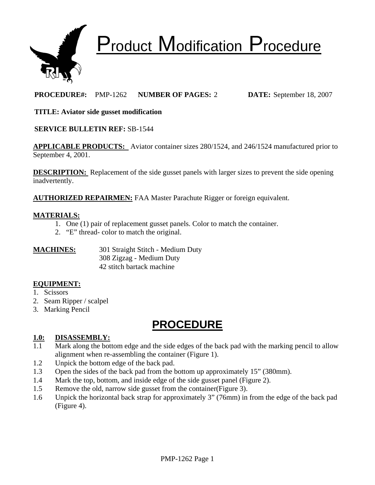

# Product Modification Procedure

# **PROCEDURE#:** PMP-1262 **NUMBER OF PAGES:** 2 **DATE:** September 18, 2007

## **TITLE: Aviator side gusset modification**

## **SERVICE BULLETIN REF:** SB-1544

**APPLICABLE PRODUCTS:** Aviator container sizes 280/1524, and 246/1524 manufactured prior to September 4, 2001.

**DESCRIPTION:** Replacement of the side gusset panels with larger sizes to prevent the side opening inadvertently.

**AUTHORIZED REPAIRMEN:** FAA Master Parachute Rigger or foreign equivalent.

#### **MATERIALS:**

- 1. One (1) pair of replacement gusset panels. Color to match the container.
- 2. "E" thread- color to match the original.

| <b>MACHINES:</b> | 301 Straight Stitch - Medium Duty |
|------------------|-----------------------------------|
|                  | 308 Zigzag - Medium Duty          |
|                  | 42 stitch bartack machine         |

## **EQUIPMENT:**

- 1. Scissors
- 2. Seam Ripper / scalpel
- 3. Marking Pencil

# **PROCEDURE**

## **1.0: DISASSEMBLY:**

- 1.1 Mark along the bottom edge and the side edges of the back pad with the marking pencil to allow alignment when re-assembling the container (Figure 1).
- 1.2 Unpick the bottom edge of the back pad.
- 1.3 Open the sides of the back pad from the bottom up approximately 15" (380mm).
- 1.4 Mark the top, bottom, and inside edge of the side gusset panel (Figure 2).
- 1.5 Remove the old, narrow side gusset from the container(Figure 3).
- 1.6 Unpick the horizontal back strap for approximately 3" (76mm) in from the edge of the back pad (Figure 4).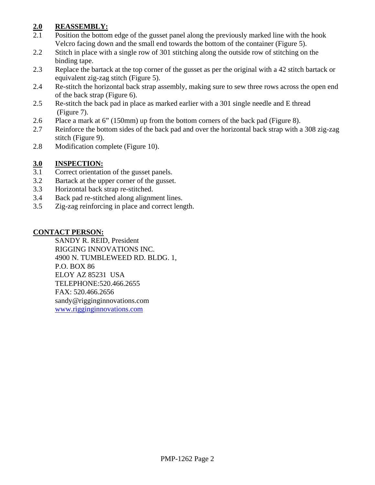# **2.0 REASSEMBLY:**

- 2.1 Position the bottom edge of the gusset panel along the previously marked line with the hook Velcro facing down and the small end towards the bottom of the container (Figure 5).
- 2.2 Stitch in place with a single row of 301 stitching along the outside row of stitching on the binding tape.
- 2.3 Replace the bartack at the top corner of the gusset as per the original with a 42 stitch bartack or equivalent zig-zag stitch (Figure 5).
- 2.4 Re-stitch the horizontal back strap assembly, making sure to sew three rows across the open end of the back strap (Figure 6).
- 2.5 Re-stitch the back pad in place as marked earlier with a 301 single needle and E thread (Figure 7).
- 2.6 Place a mark at 6" (150mm) up from the bottom corners of the back pad (Figure 8).
- 2.7 Reinforce the bottom sides of the back pad and over the horizontal back strap with a 308 zig-zag stitch (Figure 9).
- 2.8 Modification complete (Figure 10).

# **3.0 INSPECTION:**

- 3.1 Correct orientation of the gusset panels.
- 3.2 Bartack at the upper corner of the gusset.
- 3.3 Horizontal back strap re-stitched.
- 3.4 Back pad re-stitched along alignment lines.
- 3.5 Zig-zag reinforcing in place and correct length.

## **CONTACT PERSON:**

SANDY R. REID, President RIGGING INNOVATIONS INC. 4900 N. TUMBLEWEED RD. BLDG. 1, P.O. BOX 86 ELOY AZ 85231 USA TELEPHONE:520.466.2655 FAX: 520.466.2656 sandy@rigginginnovations.com [www.rigginginnovations.com](http://www.rigginginnovations.com/)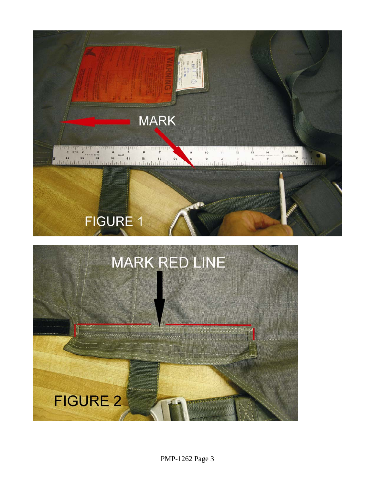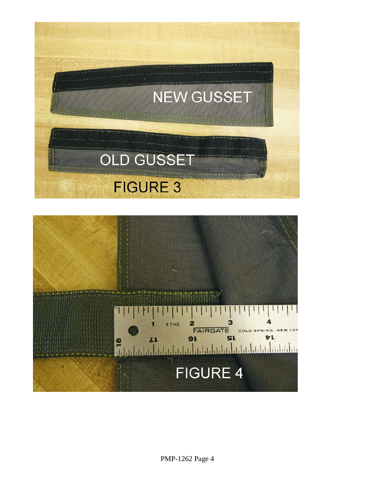

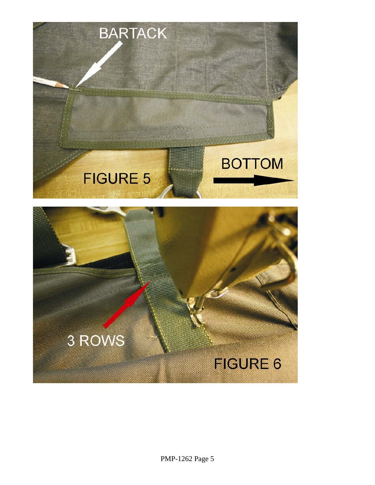

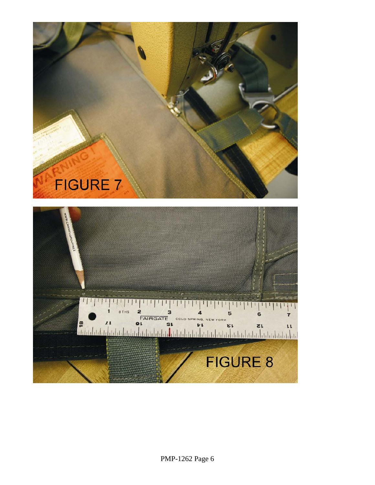